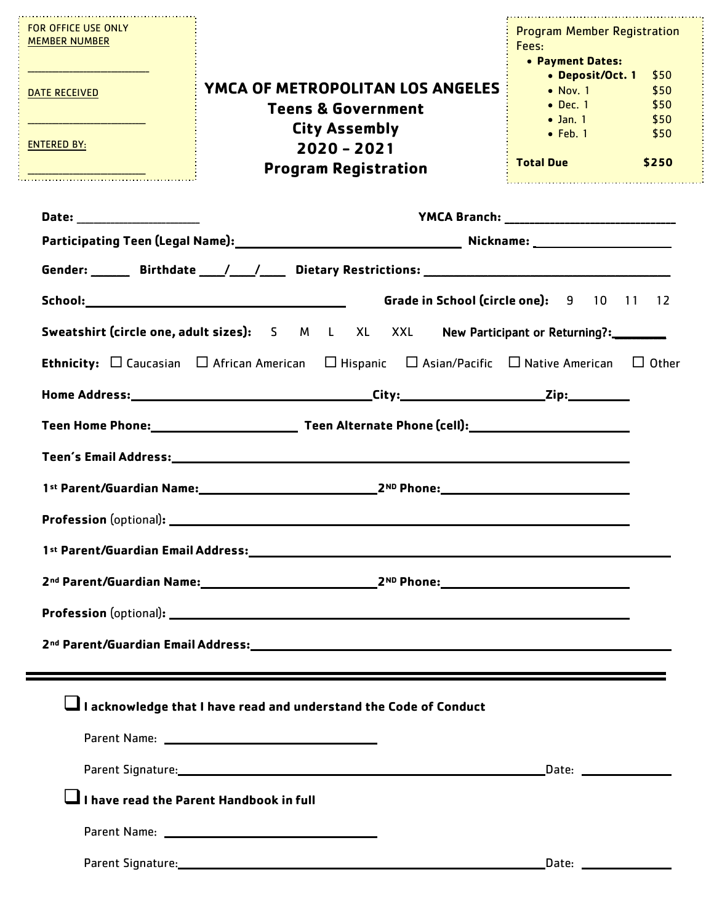| <b>FOR OFFICE USE ONLY</b><br><b>MEMBER NUMBER</b> |                                                                                                                                                                                                                                |                                          | <b>Program Member Registration</b><br>Fees: |       |
|----------------------------------------------------|--------------------------------------------------------------------------------------------------------------------------------------------------------------------------------------------------------------------------------|------------------------------------------|---------------------------------------------|-------|
|                                                    |                                                                                                                                                                                                                                |                                          | • Payment Dates:<br>• Deposit/Oct. 1 \$50   |       |
| DATE RECEIVED                                      | YMCA OF METROPOLITAN LOS ANGELES                                                                                                                                                                                               |                                          | • Nov. 1 \$50                               |       |
|                                                    | <b>Teens &amp; Government</b>                                                                                                                                                                                                  |                                          | • Dec. 1 \$50                               |       |
|                                                    |                                                                                                                                                                                                                                |                                          | • Jan. 1 \$50                               |       |
|                                                    | <b>City Assembly</b>                                                                                                                                                                                                           |                                          | $\bullet$ Feb. 1                            | \$50  |
|                                                    | <b>ENTERED BY:</b><br>$2020 - 2021$                                                                                                                                                                                            |                                          |                                             |       |
|                                                    | <b>Program Registration</b>                                                                                                                                                                                                    |                                          | <b>Formal Due</b>                           | \$250 |
| Date: ____________________                         |                                                                                                                                                                                                                                |                                          |                                             |       |
|                                                    |                                                                                                                                                                                                                                |                                          |                                             |       |
|                                                    |                                                                                                                                                                                                                                |                                          |                                             |       |
|                                                    |                                                                                                                                                                                                                                | Grade in School (circle one): 9 10 11 12 |                                             |       |
|                                                    | Sweatshirt (circle one, adult sizes): S M L XL XXL New Participant or Returning?:                                                                                                                                              |                                          |                                             |       |
|                                                    | <b>Ethnicity:</b> $\Box$ Caucasian $\Box$ African American $\Box$ Hispanic $\Box$ Asian/Pacific $\Box$ Native American $\Box$ Other                                                                                            |                                          |                                             |       |
|                                                    |                                                                                                                                                                                                                                |                                          |                                             |       |
|                                                    |                                                                                                                                                                                                                                |                                          |                                             |       |
|                                                    |                                                                                                                                                                                                                                |                                          |                                             |       |
|                                                    | 1st Parent/Guardian Name: 2ND Phone: 2ND Phone:                                                                                                                                                                                |                                          |                                             |       |
|                                                    |                                                                                                                                                                                                                                |                                          |                                             |       |
|                                                    |                                                                                                                                                                                                                                |                                          |                                             |       |
|                                                    |                                                                                                                                                                                                                                |                                          |                                             |       |
|                                                    |                                                                                                                                                                                                                                |                                          |                                             |       |
|                                                    | 2nd Parent/Guardian Email Address: University of the Contractor of the Contractor of the Contractor of the Contractor of the Contractor of the Contractor of the Contractor of the Contractor of the Contractor of the Contrac |                                          |                                             |       |
|                                                    |                                                                                                                                                                                                                                |                                          |                                             |       |
|                                                    | $\Box$ I acknowledge that I have read and understand the Code of Conduct                                                                                                                                                       |                                          |                                             |       |
|                                                    |                                                                                                                                                                                                                                |                                          |                                             |       |
|                                                    |                                                                                                                                                                                                                                |                                          |                                             |       |
|                                                    | $\blacksquare$ I have read the Parent Handbook in full                                                                                                                                                                         |                                          |                                             |       |
|                                                    |                                                                                                                                                                                                                                |                                          |                                             |       |
|                                                    | Parent Signature: and the contract of the contract of the contract of the contract of the contract of the contract of the contract of the contract of the contract of the contract of the contract of the contract of the cont |                                          | Date: ________________                      |       |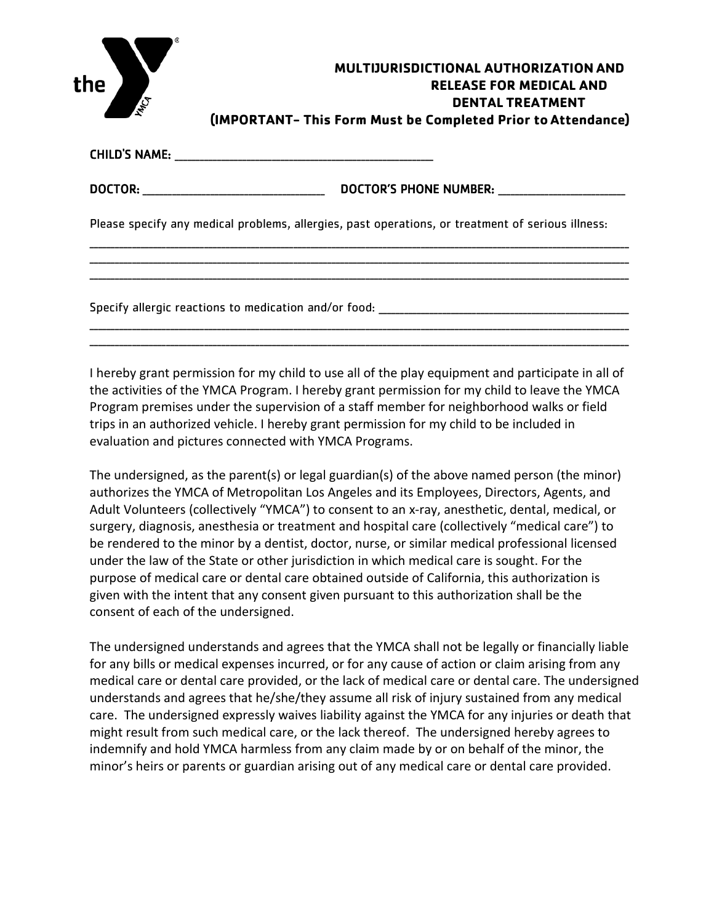| the<br>WIND | MULTIJURISDICTIONAL AUTHORIZATION AND<br><b>RELEASE FOR MEDICAL AND</b><br><b>DENTAL TREATMENT</b><br>(IMPORTANT- This Form Must be Completed Prior to Attendance) |
|-------------|--------------------------------------------------------------------------------------------------------------------------------------------------------------------|
|             |                                                                                                                                                                    |
|             | DOCTOR'S PHONE NUMBER:                                                                                                                                             |
|             | Please specify any medical problems, allergies, past operations, or treatment of serious illness:                                                                  |
|             |                                                                                                                                                                    |
|             | Specify allergic reactions to medication and/or food:                                                                                                              |

I hereby grant permission for my child to use all of the play equipment and participate in all of the activities of the YMCA Program. I hereby grant permission for my child to leave the YMCA Program premises under the supervision of a staff member for neighborhood walks or field trips in an authorized vehicle. I hereby grant permission for my child to be included in evaluation and pictures connected with YMCA Programs.

\_\_\_\_\_\_\_\_\_\_\_\_\_\_\_\_\_\_\_\_\_\_\_\_\_\_\_\_\_\_\_\_\_\_\_\_\_\_\_\_\_\_\_\_\_\_\_\_\_\_\_\_\_\_\_\_\_\_\_\_\_\_\_\_\_\_\_\_\_\_\_\_\_\_\_\_\_\_\_\_\_\_\_\_\_\_\_\_\_\_\_\_\_\_\_\_\_\_\_\_\_\_\_\_\_\_\_\_\_\_\_\_\_\_\_\_\_\_\_\_\_\_\_\_\_\_\_ \_\_\_\_\_\_\_\_\_\_\_\_\_\_\_\_\_\_\_\_\_\_\_\_\_\_\_\_\_\_\_\_\_\_\_\_\_\_\_\_\_\_\_\_\_\_\_\_\_\_\_\_\_\_\_\_\_\_\_\_\_\_\_\_\_\_\_\_\_\_\_\_\_\_\_\_\_\_\_\_\_\_\_\_\_\_\_\_\_\_\_\_\_\_\_\_\_\_\_\_\_\_\_\_\_\_\_\_\_\_\_\_\_\_\_\_\_\_\_\_\_\_\_\_\_\_\_

The undersigned, as the parent(s) or legal guardian(s) of the above named person (the minor) authorizes the YMCA of Metropolitan Los Angeles and its Employees, Directors, Agents, and Adult Volunteers (collectively "YMCA") to consent to an x-ray, anesthetic, dental, medical, or surgery, diagnosis, anesthesia or treatment and hospital care (collectively "medical care") to be rendered to the minor by a dentist, doctor, nurse, or similar medical professional licensed under the law of the State or other jurisdiction in which medical care is sought. For the purpose of medical care or dental care obtained outside of California, this authorization is given with the intent that any consent given pursuant to this authorization shall be the consent of each of the undersigned.

The undersigned understands and agrees that the YMCA shall not be legally or financially liable for any bills or medical expenses incurred, or for any cause of action or claim arising from any medical care or dental care provided, or the lack of medical care or dental care. The undersigned understands and agrees that he/she/they assume all risk of injury sustained from any medical care. The undersigned expressly waives liability against the YMCA for any injuries or death that might result from such medical care, or the lack thereof. The undersigned hereby agrees to indemnify and hold YMCA harmless from any claim made by or on behalf of the minor, the minor's heirs or parents or guardian arising out of any medical care or dental care provided.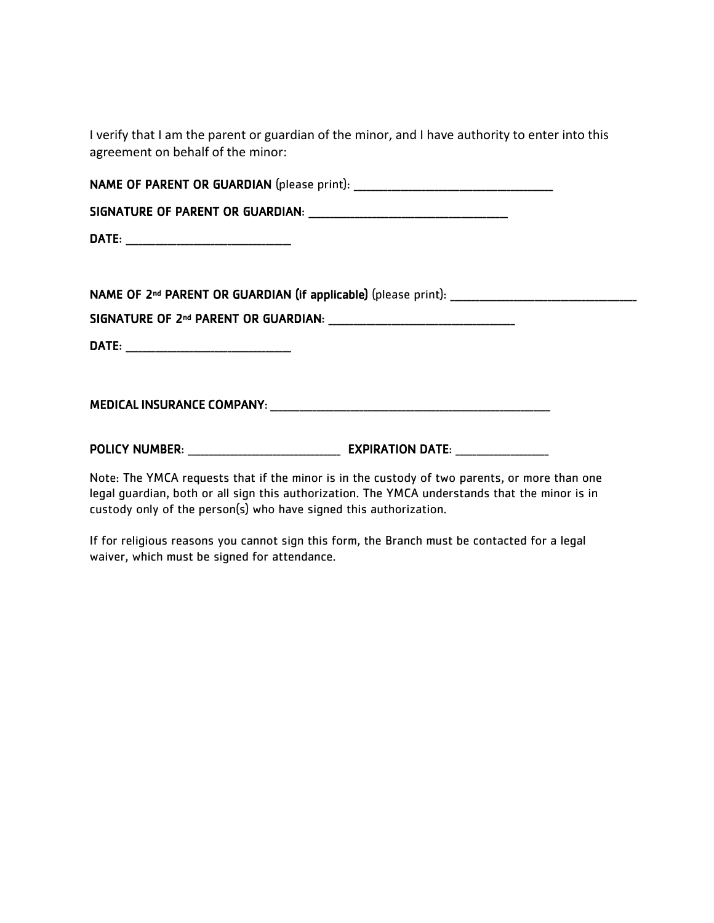I verify that I am the parent or guardian of the minor, and I have authority to enter into this agreement on behalf of the minor:

| Note: The YMCA requests that if the minor is in the custody of two parents, or more than one |  |
|----------------------------------------------------------------------------------------------|--|

legal guardian, both or all sign this authorization. The YMCA understands that the minor is in custody only of the person(s) who have signed this authorization.

If for religious reasons you cannot sign this form, the Branch must be contacted for a legal waiver, which must be signed for attendance.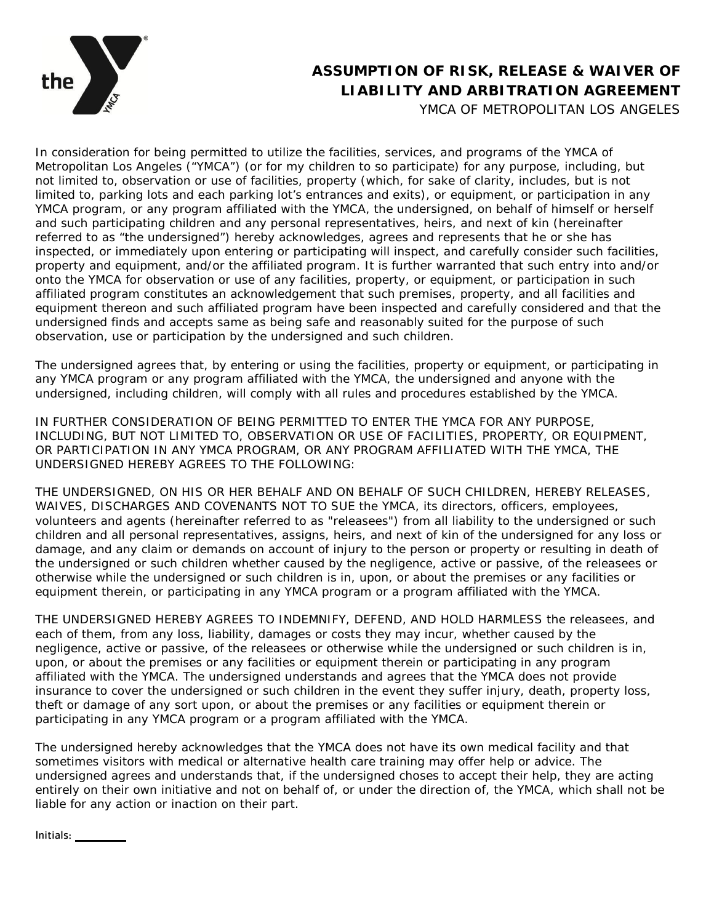

# **ASSUMPTION OF RISK, RELEASE & WAIVER OF LIABILITY AND ARBITRATION AGREEMENT**

YMCA OF METROPOLITAN LOS ANGELES

In consideration for being permitted to utilize the facilities, services, and programs of the YMCA of Metropolitan Los Angeles ("YMCA") (or for my children to so participate) for any purpose, including, but not limited to, observation or use of facilities, property (which, for sake of clarity, includes, but is not limited to, parking lots and each parking lot's entrances and exits), or equipment, or participation in any YMCA program, or any program affiliated with the YMCA, the undersigned, on behalf of himself or herself and such participating children and any personal representatives, heirs, and next of kin (hereinafter referred to as "the undersigned") hereby acknowledges, agrees and represents that he or she has inspected, or immediately upon entering or participating will inspect, and carefully consider such facilities, property and equipment, and/or the affiliated program. It is further warranted that such entry into and/or onto the YMCA for observation or use of any facilities, property, or equipment, or participation in such affiliated program constitutes an acknowledgement that such premises, property, and all facilities and equipment thereon and such affiliated program have been inspected and carefully considered and that the undersigned finds and accepts same as being safe and reasonably suited for the purpose of such observation, use or participation by the undersigned and such children.

The undersigned agrees that, by entering or using the facilities, property or equipment, or participating in any YMCA program or any program affiliated with the YMCA, the undersigned and anyone with the undersigned, including children, will comply with all rules and procedures established by the YMCA.

IN FURTHER CONSIDERATION OF BEING PERMITTED TO ENTER THE YMCA FOR ANY PURPOSE, INCLUDING, BUT NOT LIMITED TO, OBSERVATION OR USE OF FACILITIES, PROPERTY, OR EQUIPMENT, OR PARTICIPATION IN ANY YMCA PROGRAM, OR ANY PROGRAM AFFILIATED WITH THE YMCA, THE UNDERSIGNED HEREBY AGREES TO THE FOLLOWING:

THE UNDERSIGNED, ON HIS OR HER BEHALF AND ON BEHALF OF SUCH CHILDREN, HEREBY RELEASES, WAIVES, DISCHARGES AND COVENANTS NOT TO SUE the YMCA, its directors, officers, employees, volunteers and agents (hereinafter referred to as "releasees") from all liability to the undersigned or such children and all personal representatives, assigns, heirs, and next of kin of the undersigned for any loss or damage, and any claim or demands on account of injury to the person or property or resulting in death of the undersigned or such children whether caused by the negligence, active or passive, of the releasees or otherwise while the undersigned or such children is in, upon, or about the premises or any facilities or equipment therein, or participating in any YMCA program or a program affiliated with the YMCA.

THE UNDERSIGNED HEREBY AGREES TO INDEMNIFY, DEFEND, AND HOLD HARMLESS the releasees, and each of them, from any loss, liability, damages or costs they may incur, whether caused by the negligence, active or passive, of the releasees or otherwise while the undersigned or such children is in, upon, or about the premises or any facilities or equipment therein or participating in any program affiliated with the YMCA. The undersigned understands and agrees that the YMCA does not provide insurance to cover the undersigned or such children in the event they suffer injury, death, property loss, theft or damage of any sort upon, or about the premises or any facilities or equipment therein or participating in any YMCA program or a program affiliated with the YMCA.

The undersigned hereby acknowledges that the YMCA does not have its own medical facility and that sometimes visitors with medical or alternative health care training may offer help or advice. The undersigned agrees and understands that, if the undersigned choses to accept their help, they are acting entirely on their own initiative and not on behalf of, or under the direction of, the YMCA, which shall not be liable for any action or inaction on their part.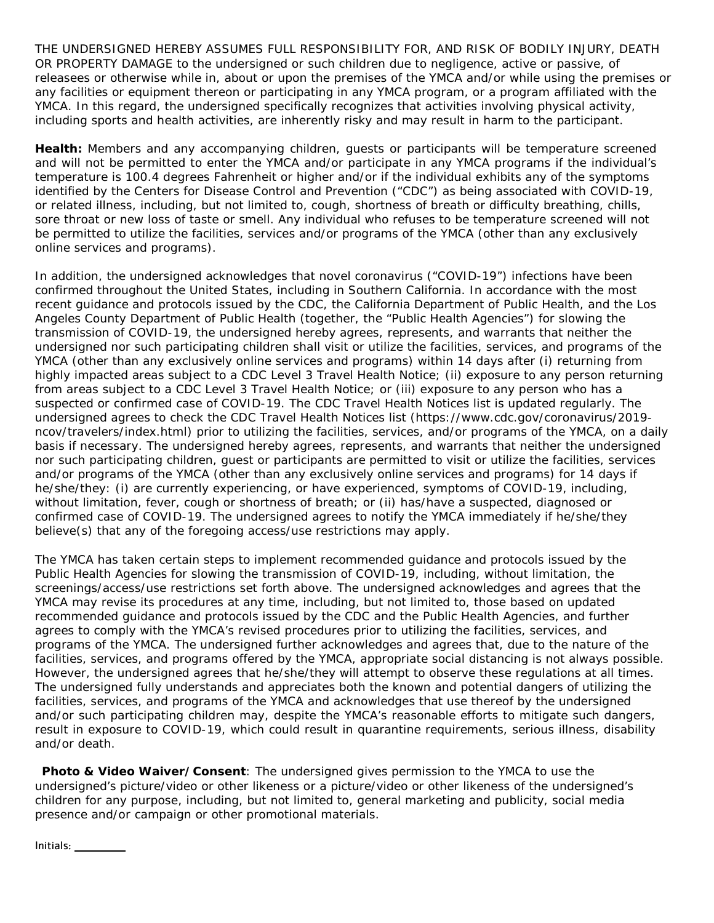THE UNDERSIGNED HEREBY ASSUMES FULL RESPONSIBILITY FOR, AND RISK OF BODILY INJURY, DEATH OR PROPERTY DAMAGE to the undersigned or such children due to negligence, active or passive, of releasees or otherwise while in, about or upon the premises of the YMCA and/or while using the premises or any facilities or equipment thereon or participating in any YMCA program, or a program affiliated with the YMCA. In this regard, the undersigned specifically recognizes that activities involving physical activity, including sports and health activities, are inherently risky and may result in harm to the participant.

**Health:** Members and any accompanying children, guests or participants will be temperature screened and will not be permitted to enter the YMCA and/or participate in any YMCA programs if the individual's temperature is 100.4 degrees Fahrenheit or higher and/or if the individual exhibits any of the symptoms identified by the Centers for Disease Control and Prevention ("CDC") as being associated with COVID-19, or related illness, including, but not limited to, cough, shortness of breath or difficulty breathing, chills, sore throat or new loss of taste or smell. Any individual who refuses to be temperature screened will not be permitted to utilize the facilities, services and/or programs of the YMCA (other than any exclusively online services and programs).

In addition, the undersigned acknowledges that novel coronavirus ("COVID-19") infections have been confirmed throughout the United States, including in Southern California. In accordance with the most recent guidance and protocols issued by the CDC, the California Department of Public Health, and the Los Angeles County Department of Public Health (together, the "Public Health Agencies") for slowing the transmission of COVID-19, the undersigned hereby agrees, represents, and warrants that neither the undersigned nor such participating children shall visit or utilize the facilities, services, and programs of the YMCA (other than any exclusively online services and programs) within 14 days after (i) returning from highly impacted areas subject to a CDC Level 3 Travel Health Notice; (ii) exposure to any person returning from areas subject to a CDC Level 3 Travel Health Notice; or (iii) exposure to any person who has a suspected or confirmed case of COVID-19. The CDC Travel Health Notices list is updated regularly. The undersigned agrees to check the CDC Travel Health Notices list (https:/[/www.cdc.gov/coronavirus/2019](http://www.cdc.gov/coronavirus/2019-) ncov/travelers/index.html) prior to utilizing the facilities, services, and/or programs of the YMCA, on a daily basis if necessary. The undersigned hereby agrees, represents, and warrants that neither the undersigned nor such participating children, guest or participants are permitted to visit or utilize the facilities, services and/or programs of the YMCA (other than any exclusively online services and programs) for 14 days if he/she/they: (i) are currently experiencing, or have experienced, symptoms of COVID-19, including, without limitation, fever, cough or shortness of breath; or (ii) has/have a suspected, diagnosed or confirmed case of COVID-19. The undersigned agrees to notify the YMCA immediately if he/she/they believe(s) that any of the foregoing access/use restrictions may apply.

The YMCA has taken certain steps to implement recommended guidance and protocols issued by the Public Health Agencies for slowing the transmission of COVID-19, including, without limitation, the screenings/access/use restrictions set forth above. The undersigned acknowledges and agrees that the YMCA may revise its procedures at any time, including, but not limited to, those based on updated recommended guidance and protocols issued by the CDC and the Public Health Agencies, and further agrees to comply with the YMCA's revised procedures prior to utilizing the facilities, services, and programs of the YMCA. The undersigned further acknowledges and agrees that, due to the nature of the facilities, services, and programs offered by the YMCA, appropriate social distancing is not always possible. However, the undersigned agrees that he/she/they will attempt to observe these regulations at all times. The undersigned fully understands and appreciates both the known and potential dangers of utilizing the facilities, services, and programs of the YMCA and acknowledges that use thereof by the undersigned and/or such participating children may, despite the YMCA's reasonable efforts to mitigate such dangers, result in exposure to COVID-19, which could result in quarantine requirements, serious illness, disability and/or death.

**Photo & Video Waiver/Consent**: The undersigned gives permission to the YMCA to use the undersigned's picture/video or other likeness or a picture/video or other likeness of the undersigned's children for any purpose, including, but not limited to, general marketing and publicity, social media presence and/or campaign or other promotional materials.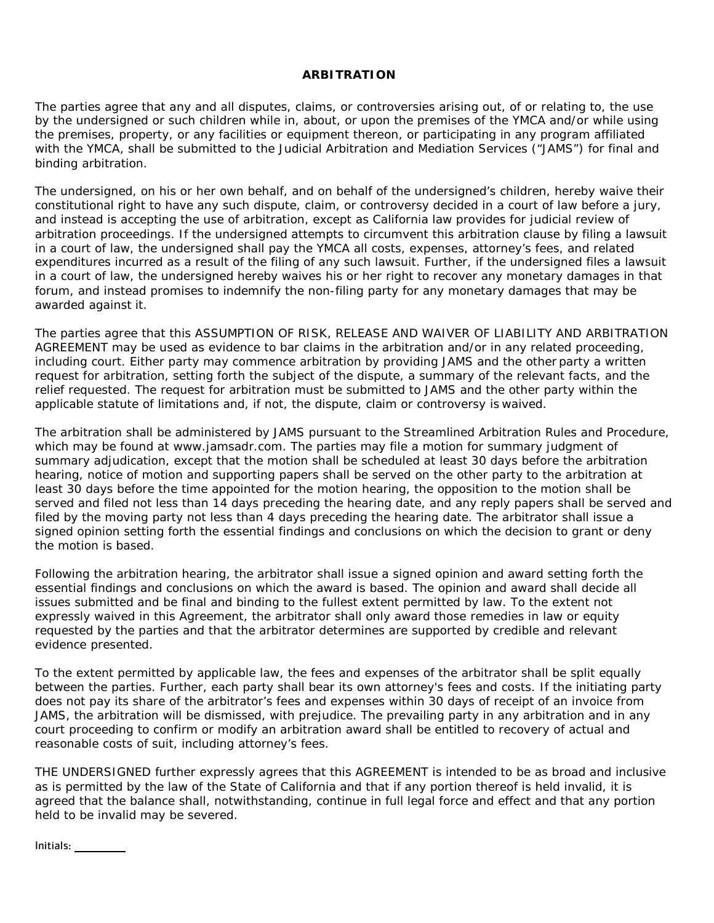#### **ARBITRATION**

The parties agree that any and all disputes, claims, or controversies arising out, of or relating to, the use by the undersigned or such children while in, about, or upon the premises of the YMCA and/or while using the premises, property, or any facilities or equipment thereon, or participating in any program affiliated with the YMCA, shall be submitted to the Judicial Arbitration and Mediation Services ("JAMS") for final and binding arbitration.

The undersigned, on his or her own behalf, and on behalf of the undersigned's children, hereby waive their constitutional right to have any such dispute, claim, or controversy decided in a court of law before a jury, and instead is accepting the use of arbitration, except as California law provides for judicial review of arbitration proceedings. If the undersigned attempts to circumvent this arbitration clause by filing a lawsuit in a court of law, the undersigned shall pay the YMCA all costs, expenses, attorney's fees, and related expenditures incurred as a result of the filing of any such lawsuit. Further, if the undersigned files a lawsuit in a court of law, the undersigned hereby waives his or her right to recover any monetary damages in that forum, and instead promises to indemnify the non-filing party for any monetary damages that may be awarded against it.

The parties agree that this ASSUMPTION OF RISK, RELEASE AND WAIVER OF LIABILITY AND ARBITRATION AGREEMENT may be used as evidence to bar claims in the arbitration and/or in any related proceeding, including court. Either party may commence arbitration by providing JAMS and the other party a written request for arbitration, setting forth the subject of the dispute, a summary of the relevant facts, and the relief requested. The request for arbitration must be submitted to JAMS and the other party within the applicable statute of limitations and, if not, the dispute, claim or controversy is waived.

The arbitration shall be administered by JAMS pursuant to the Streamlined Arbitration Rules and Procedure, which may be found at [www.jamsadr.com. T](http://www.jamsadr.com/)he parties may file a motion for summary judgment of summary adjudication, except that the motion shall be scheduled at least 30 days before the arbitration hearing, notice of motion and supporting papers shall be served on the other party to the arbitration at least 30 days before the time appointed for the motion hearing, the opposition to the motion shall be served and filed not less than 14 days preceding the hearing date, and any reply papers shall be served and filed by the moving party not less than 4 days preceding the hearing date. The arbitrator shall issue a signed opinion setting forth the essential findings and conclusions on which the decision to grant or deny the motion is based.

Following the arbitration hearing, the arbitrator shall issue a signed opinion and award setting forth the essential findings and conclusions on which the award is based. The opinion and award shall decide all issues submitted and be final and binding to the fullest extent permitted by law. To the extent not expressly waived in this Agreement, the arbitrator shall only award those remedies in law or equity requested by the parties and that the arbitrator determines are supported by credible and relevant evidence presented.

To the extent permitted by applicable law, the fees and expenses of the arbitrator shall be split equally between the parties. Further, each party shall bear its own attorney's fees and costs. If the initiating party does not pay its share of the arbitrator's fees and expenses within 30 days of receipt of an invoice from JAMS, the arbitration will be dismissed, with prejudice. The prevailing party in any arbitration and in any court proceeding to confirm or modify an arbitration award shall be entitled to recovery of actual and reasonable costs of suit, including attorney's fees.

THE UNDERSIGNED further expressly agrees that this AGREEMENT is intended to be as broad and inclusive as is permitted by the law of the State of California and that if any portion thereof is held invalid, it is agreed that the balance shall, notwithstanding, continue in full legal force and effect and that any portion held to be invalid may be severed.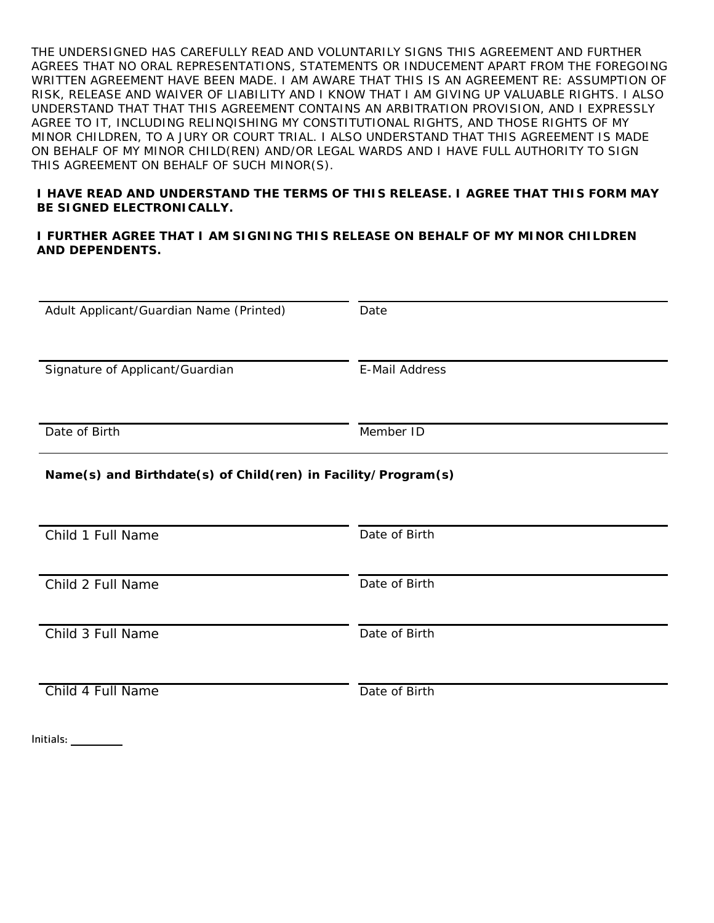THE UNDERSIGNED HAS CAREFULLY READ AND VOLUNTARILY SIGNS THIS AGREEMENT AND FURTHER AGREES THAT NO ORAL REPRESENTATIONS, STATEMENTS OR INDUCEMENT APART FROM THE FOREGOING WRITTEN AGREEMENT HAVE BEEN MADE. I AM AWARE THAT THIS IS AN AGREEMENT RE: ASSUMPTION OF RISK, RELEASE AND WAIVER OF LIABILITY AND I KNOW THAT I AM GIVING UP VALUABLE RIGHTS. I ALSO UNDERSTAND THAT THAT THIS AGREEMENT CONTAINS AN ARBITRATION PROVISION, AND I EXPRESSLY AGREE TO IT, INCLUDING RELINQISHING MY CONSTITUTIONAL RIGHTS, AND THOSE RIGHTS OF MY MINOR CHILDREN, TO A JURY OR COURT TRIAL. I ALSO UNDERSTAND THAT THIS AGREEMENT IS MADE ON BEHALF OF MY MINOR CHILD(REN) AND/OR LEGAL WARDS AND I HAVE FULL AUTHORITY TO SIGN THIS AGREEMENT ON BEHALF OF SUCH MINOR(S).

#### **I HAVE READ AND UNDERSTAND THE TERMS OF THIS RELEASE. I AGREE THAT THIS FORM MAY BE SIGNED ELECTRONICALLY.**

#### **I FURTHER AGREE THAT I AM SIGNING THIS RELEASE ON BEHALF OF MY MINOR CHILDREN AND DEPENDENTS.**

| Adult Applicant/Guardian Name (Printed)                       | Date                  |
|---------------------------------------------------------------|-----------------------|
|                                                               |                       |
| Signature of Applicant/Guardian                               | <b>E-Mail Address</b> |
| Date of Birth                                                 | Member ID             |
| Name(s) and Birthdate(s) of Child(ren) in Facility/Program(s) |                       |
| Child 1 Full Name                                             | Date of Birth         |
| Child 2 Full Name                                             | Date of Birth         |
| Child 3 Full Name                                             | Date of Birth         |
| Child 4 Full Name                                             | Date of Birth         |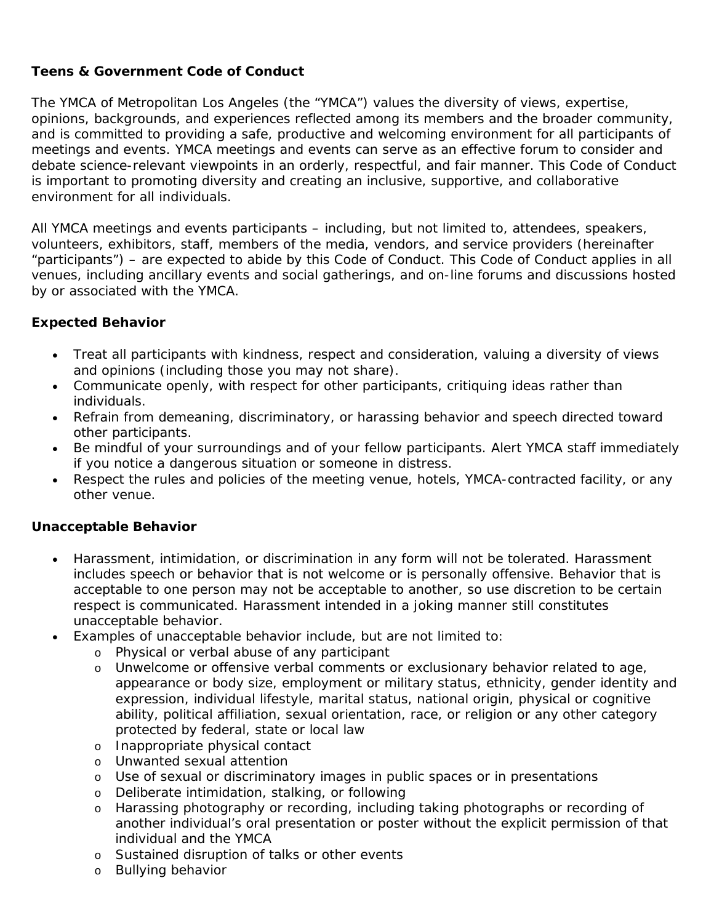## **Teens & Government Code of Conduct**

The YMCA of Metropolitan Los Angeles (the "YMCA") values the diversity of views, expertise, opinions, backgrounds, and experiences reflected among its members and the broader community, and is committed to providing a safe, productive and welcoming environment for all participants of meetings and events. YMCA meetings and events can serve as an effective forum to consider and debate science-relevant viewpoints in an orderly, respectful, and fair manner. This Code of Conduct is important to promoting diversity and creating an inclusive, supportive, and collaborative environment for all individuals.

All YMCA meetings and events participants – including, but not limited to, attendees, speakers, volunteers, exhibitors, staff, members of the media, vendors, and service providers (hereinafter "participants") – are expected to abide by this Code of Conduct. This Code of Conduct applies in all venues, including ancillary events and social gatherings, and on-line forums and discussions hosted by or associated with the YMCA.

## **Expected Behavior**

- Treat all participants with kindness, respect and consideration, valuing a diversity of views and opinions (including those you may not share).
- Communicate openly, with respect for other participants, critiquing ideas rather than individuals.
- Refrain from demeaning, discriminatory, or harassing behavior and speech directed toward other participants.
- Be mindful of your surroundings and of your fellow participants. Alert YMCA staff immediately if you notice a dangerous situation or someone in distress.
- Respect the rules and policies of the meeting venue, hotels, YMCA-contracted facility, or any other venue.

## **Unacceptable Behavior**

- Harassment, intimidation, or discrimination in any form will not be tolerated. Harassment includes speech or behavior that is not welcome or is personally offensive. Behavior that is acceptable to one person may not be acceptable to another, so use discretion to be certain respect is communicated. Harassment intended in a joking manner still constitutes unacceptable behavior.
- Examples of unacceptable behavior include, but are not limited to:
	- o Physical or verbal abuse of any participant
	- o Unwelcome or offensive verbal comments or exclusionary behavior related to age, appearance or body size, employment or military status, ethnicity, gender identity and expression, individual lifestyle, marital status, national origin, physical or cognitive ability, political affiliation, sexual orientation, race, or religion or any other category protected by federal, state or local law
	- o Inappropriate physical contact
	- o Unwanted sexual attention
	- o Use of sexual or discriminatory images in public spaces or in presentations
	- o Deliberate intimidation, stalking, or following
	- o Harassing photography or recording, including taking photographs or recording of another individual's oral presentation or poster without the explicit permission of that individual and the YMCA
	- o Sustained disruption of talks or other events
	- o Bullying behavior